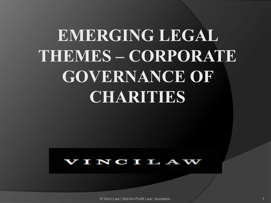# **EMERGING LEGAL THEMES – CORPORATE GOVERNANCE OF CHARITIES**

#### VINCILAW

© Vinci Law | Not-for-Profit Law | Auckland 1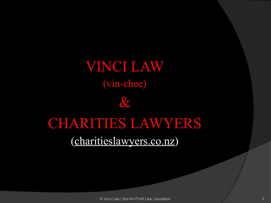VINCI LAW (vin-chee) & CHARITIES LAWYERS (charitieslawyers.co.nz)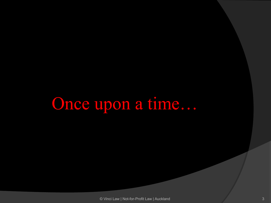# Once upon a time…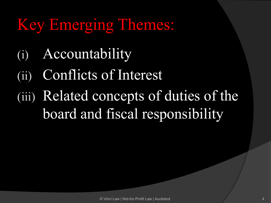### Key Emerging Themes:

- (i) Accountability
- (ii) Conflicts of Interest
- (iii) Related concepts of duties of the board and fiscal responsibility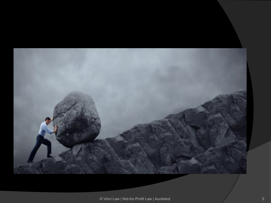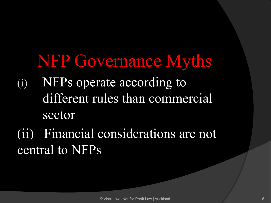# NFP Governance Myths

(i) NFPs operate according to different rules than commercial sector

(ii) Financial considerations are not central to NFPs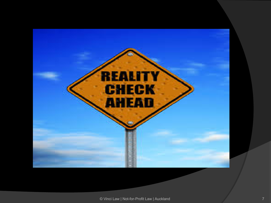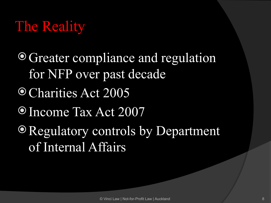#### The Reality

 Greater compliance and regulation for NFP over past decade Charities Act 2005 Income Tax Act 2007

 Regulatory controls by Department of Internal Affairs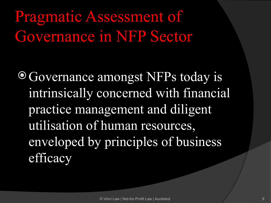Pragmatic Assessment of Governance in NFP Sector

 Governance amongst NFPs today is intrinsically concerned with financial practice management and diligent utilisation of human resources, enveloped by principles of business efficacy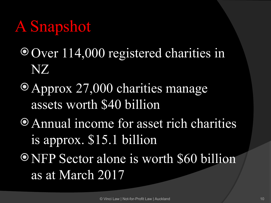#### A Snapshot

- Over 114,000 registered charities in NZ
- Approx 27,000 charities manage assets worth \$40 billion
- Annual income for asset rich charities is approx. \$15.1 billion
- NFP Sector alone is worth \$60 billion as at March 2017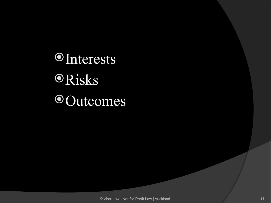**O**Interests **ORisks OOutcomes**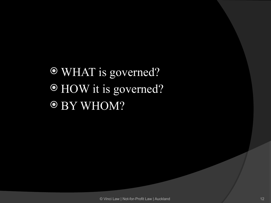WHAT is governed? HOW it is governed?  $\odot$  BY WHOM?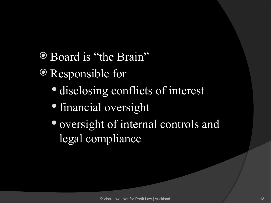- Board is "the Brain"
- Responsible for
	- disclosing conflicts of interest
	- financial oversight
	- oversight of internal controls and legal compliance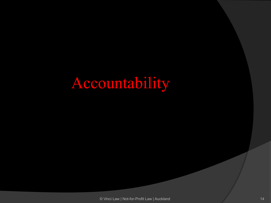### Accountability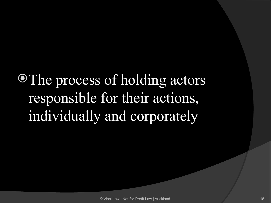### The process of holding actors responsible for their actions, individually and corporately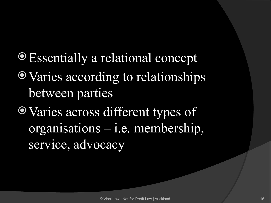- Essentially a relational concept
- Varies according to relationships between parties
- Varies across different types of organisations – i.e. membership, service, advocacy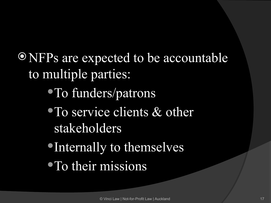NFPs are expected to be accountable to multiple parties:

To funders/patrons

- To service clients & other stakeholders
- Internally to themselves

To their missions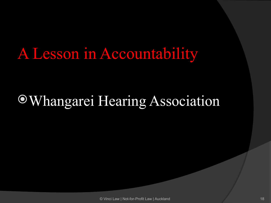# A Lesson in Accountability

#### Whangarei Hearing Association

© Vinci Law | Not-for-Profit Law | Auckland 18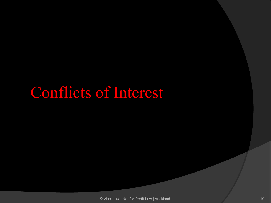# Conflicts of Interest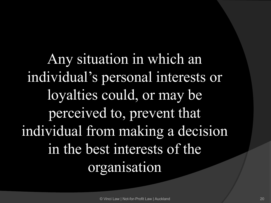Any situation in which an individual's personal interests or loyalties could, or may be perceived to, prevent that individual from making a decision in the best interests of the organisation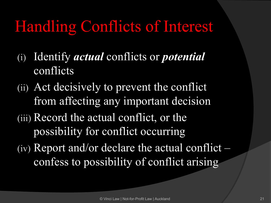#### Handling Conflicts of Interest

- (i) Identify *actual* conflicts or *potential* conflicts
- (ii) Act decisively to prevent the conflict from affecting any important decision
- (iii) Record the actual conflict, or the possibility for conflict occurring
- (iv) Report and/or declare the actual conflict  $$ confess to possibility of conflict arising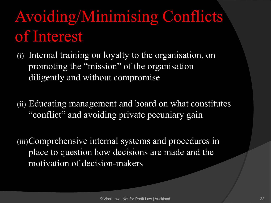# Avoiding/Minimising Conflicts of Interest

- (i) Internal training on loyalty to the organisation, on promoting the "mission" of the organisation diligently and without compromise
- (ii) Educating management and board on what constitutes "conflict" and avoiding private pecuniary gain
- (iii)Comprehensive internal systems and procedures in place to question how decisions are made and the motivation of decision-makers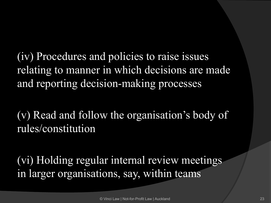(iv) Procedures and policies to raise issues relating to manner in which decisions are made and reporting decision-making processes

(v) Read and follow the organisation's body of rules/constitution

(vi) Holding regular internal review meetings in larger organisations, say, within teams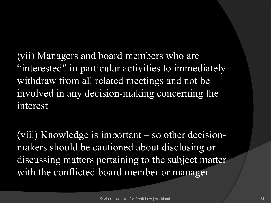(vii) Managers and board members who are "interested" in particular activities to immediately withdraw from all related meetings and not be involved in any decision-making concerning the interest

(viii) Knowledge is important – so other decisionmakers should be cautioned about disclosing or discussing matters pertaining to the subject matter with the conflicted board member or manager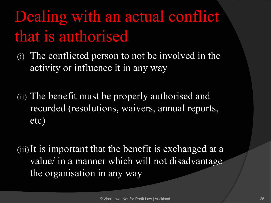# Dealing with an actual conflict that is authorised

(i) The conflicted person to not be involved in the activity or influence it in any way

(ii) The benefit must be properly authorised and recorded (resolutions, waivers, annual reports, etc)

(iii)It is important that the benefit is exchanged at a value/ in a manner which will not disadvantage the organisation in any way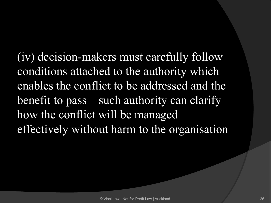(iv) decision-makers must carefully follow conditions attached to the authority which enables the conflict to be addressed and the benefit to pass – such authority can clarify how the conflict will be managed effectively without harm to the organisation